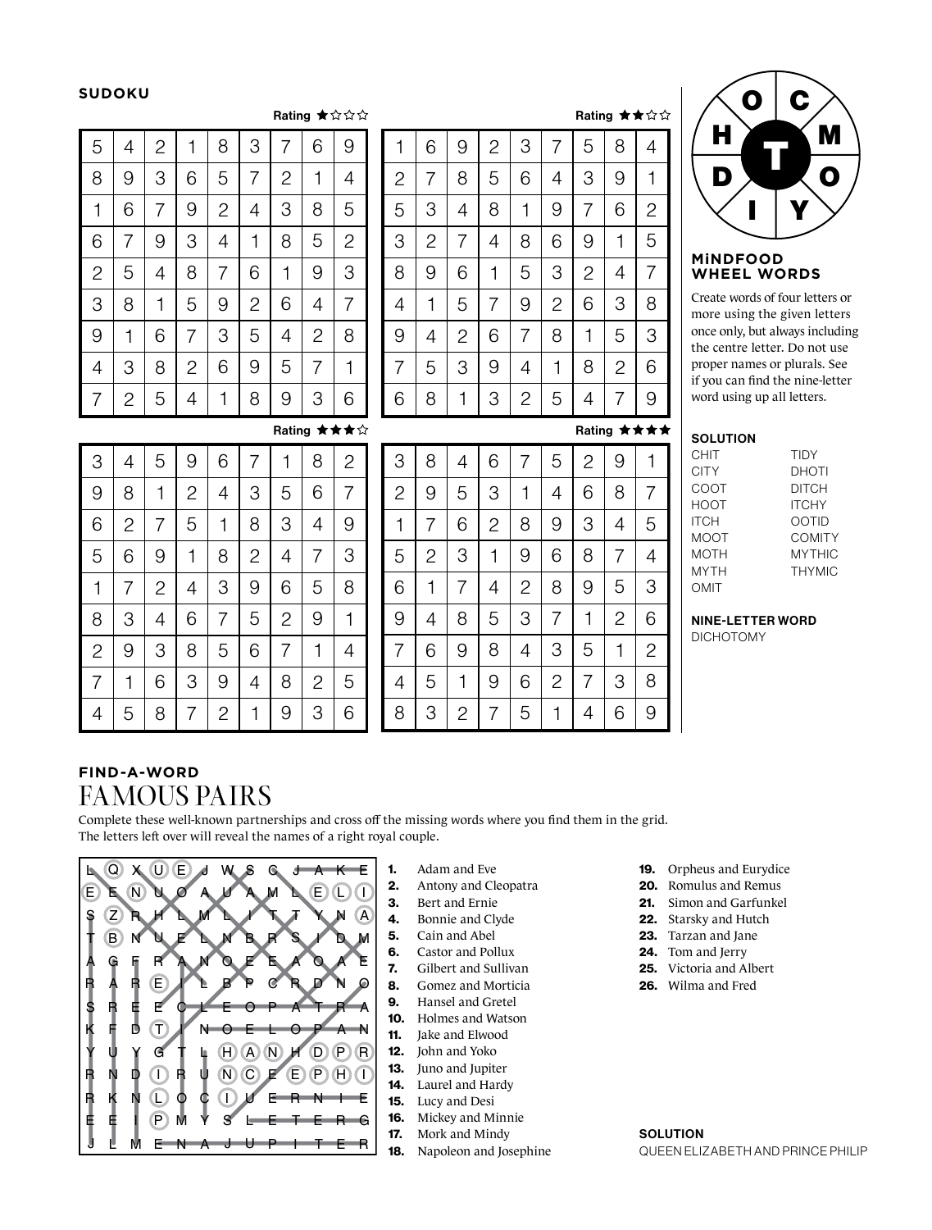### **SUDOKU**

## $B_{\text{other}}$   $\rightarrow$   $\rightarrow$   $\rightarrow$   $\rightarrow$

|                |                |                |   |                |                |                |                | natiity $\mathbb{R} \Join \Join \Join$ |  |
|----------------|----------------|----------------|---|----------------|----------------|----------------|----------------|----------------------------------------|--|
| 5              | 4              | $\overline{c}$ | 1 | 8              | 3              | 7              | 6              | 9                                      |  |
| 8              | 9              | 3              | 6 | 5              | 7              | $\overline{c}$ | 1              | 4                                      |  |
| 1              | 6              | 7              | 9 | $\overline{c}$ | 4              | 3              | 8              | 5                                      |  |
| 6              | 7              | 9              | 3 | 4              | 1              | 8              | 5              | $\overline{c}$                         |  |
| $\mathbf{2}$   | 5              | 4              | 8 | 7              | 6              | 1              | 9              | 3                                      |  |
| 3              | 8              | 1              | 5 | 9              | $\overline{c}$ | 6              | 4              | 7                                      |  |
| 9              | 1              | 6              | 7 | 3              | 5              | 4              | $\overline{c}$ | 8                                      |  |
| $\overline{4}$ | 3              | 8              | 2 | 6              | 9              | 5              | 7              | 1                                      |  |
| 7              | $\overline{c}$ | 5              | 4 | 1              | 8              | 9              | 3              | 6                                      |  |

| 1            | 6 | 9              | 2 | 3              | 7              | 5              | 8              | 4              |
|--------------|---|----------------|---|----------------|----------------|----------------|----------------|----------------|
| $\mathbf{2}$ | 7 | 8              | 5 | 6              | 4              | 3              | 9              | 1              |
| 5            | 3 | 4              | 8 | 1              | 9              | 7              | 6              | $\overline{c}$ |
| 3            | 2 | 7              | 4 | 8              | 6              | 9              | 1              | 5              |
| 8            | 9 | 6              | 1 | 5              | 3              | $\overline{2}$ | 4              | 7              |
| 4            | 1 | 5              | 7 | 9              | $\overline{c}$ | 6              | 3              | 8              |
| 9            | 4 | $\overline{c}$ | 6 | 7              | 8              | 1              | 5              | 3              |
| 7            | 5 | 3              | 9 | 4              | 1              | 8              | $\overline{c}$ | 6              |
| 6            | 8 | 1              | 3 | $\overline{2}$ | 5              | 4              | 7              | 9              |

# Rating ★★★★

Rating ★★☆☆

| $\bullet$ | $\mathbf C$ |   |
|-----------|-------------|---|
| Н         |             | M |
| D         |             | Q |
|           |             |   |
|           |             |   |

#### **MiNDFOOD WHEEL WORDS**

Create words of four letters or more using the given letters once only, but always including the centre letter. Do not use proper names or plurals. See if you can find the nine-letter word using up all letters.

### **SOLUTION**

| CHIT        | <b>TIDY</b>   |
|-------------|---------------|
| <b>CITY</b> | <b>DHOTI</b>  |
| COOT        | <b>DITCH</b>  |
| HOOT        | <b>ITCHY</b>  |
| <b>ITCH</b> | <b>OOTID</b>  |
| MOOT        | COMITY        |
| MOTH        | <b>MYTHIC</b> |
| <b>MYTH</b> | <b>THYMIC</b> |
| OMIT        |               |

# NINE-LETTER WORD

DICHOTOMY

|                |              |                |   |                |                |                |                | Rating ★★★☆ |
|----------------|--------------|----------------|---|----------------|----------------|----------------|----------------|-------------|
| 3              | 4            | 5              | 9 | 6              | 7              |                | 8              | 2           |
| 9              | 8            | 1              | 2 | 4              | 3              | 5              | 6              | 7           |
| 6              | $\mathbf{2}$ | 7              | 5 | 1              | 8              | 3              | 4              | 9           |
| 5              | 6            | 9              | 1 | 8              | $\overline{c}$ | 4              | 7              | 3           |
| 1              | 7            | $\overline{2}$ | 4 | 3              | 9              | 6              | 5              | 8           |
| 8              | 3            | 4              | 6 | 7              | 5              | $\overline{2}$ | 9              | 1           |
| $\overline{c}$ | 9            | 3              | 8 | 5              | 6              | 7              | 1              | 4           |
| 7              | 1            | 6              | 3 | 9              | 4              | 8              | $\overline{2}$ | 5           |
| 4              | 5            | 8              | 7 | $\overline{2}$ | 1              | 9              | 3              | 6           |

# **FIND-A-WORD** FAMOUS PAIRS

Complete these well-known partnerships and cross off the missing words where you find them in the grid. The letters left over will reveal the names of a right royal couple.

8

3

 $\overline{2}$ 

7

5

1

4 7

6

9

8

2

6

3

4

5

7

1

3

1

2

5

7

4

8

9

5

1

9

8

3

6

2

2

3

7

8

6

9

4

5

6

4

3

2

9

8

1

7

9

8

5

4

1

2

3

6

1

9

8

7

3

6

5

4

5

6

4

1

2

7

9

8

4

7

9

6

5

1

2

3



- 1. Adam and Eve
- 2. Antony and Cleopatra
- 3. Bert and Ernie
- 4. Bonnie and Clyde
- 5. Cain and Abel
- 6. Castor and Pollux
- 7. Gilbert and Sullivan
- 8. Gomez and Morticia
- 9. Hansel and Gretel
- 10. Holmes and Watson
- 11. Jake and Elwood
- 12. John and Yoko
- 13. Juno and Jupiter
- 14. Laurel and Hardy
- 15. Lucy and Desi
- 16. Mickey and Minnie
- 17. Mork and Mindy
- 18. Napoleon and Josephine
- 19. Orpheus and Eurydice
- 20. Romulus and Remus
- 21. Simon and Garfunkel
- 22. Starsky and Hutch
- 23. Tarzan and Jane
- 24. Tom and Jerry
- 25. Victoria and Albert
- 26. Wilma and Fred